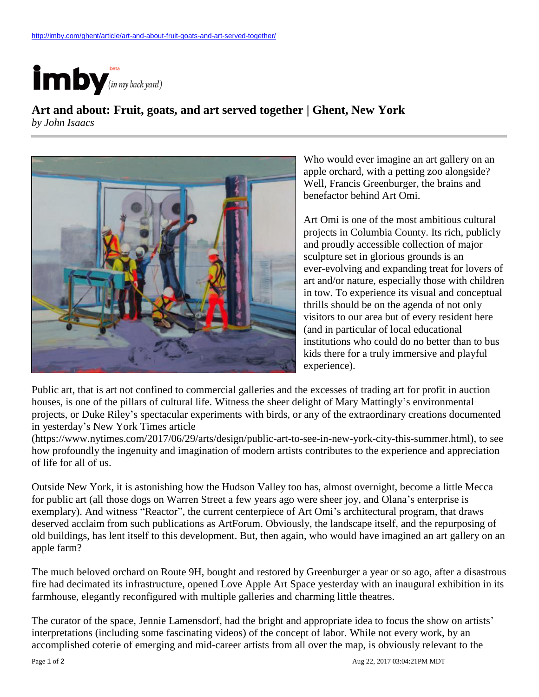

## **Art and about: Fruit, goats, and art served together | Ghent, New York**

*by John Isaacs*



Who would ever imagine an art gallery on an apple orchard, with a petting zoo alongside? Well, Francis Greenburger, the brains and benefactor behind Art Omi.

Art Omi is one of the most ambitious cultural projects in Columbia County. Its rich, publicly and proudly accessible collection of major sculpture set in glorious grounds is an ever-evolving and expanding treat for lovers of art and/or nature, especially those with children in tow. To experience its visual and conceptual thrills should be on the agenda of not only visitors to our area but of every resident here (and in particular of local educational institutions who could do no better than to bus kids there for a truly immersive and playful experience).

Public art, that is art not confined to commercial galleries and the excesses of trading art for profit in auction houses, is one of the pillars of cultural life. Witness the sheer delight of Mary Mattingly's environmental projects, or Duke Riley's spectacular experiments with birds, or any of the extraordinary creations documented in yesterday's New York Times article

(https://www.nytimes.com/2017/06/29/arts/design/public-art-to-see-in-new-york-city-this-summer.html), to see how profoundly the ingenuity and imagination of modern artists contributes to the experience and appreciation of life for all of us.

Outside New York, it is astonishing how the Hudson Valley too has, almost overnight, become a little Mecca for public art (all those dogs on Warren Street a few years ago were sheer joy, and Olana's enterprise is exemplary). And witness "Reactor", the current centerpiece of Art Omi's architectural program, that draws deserved acclaim from such publications as ArtForum. Obviously, the landscape itself, and the repurposing of old buildings, has lent itself to this development. But, then again, who would have imagined an art gallery on an apple farm?

The much beloved orchard on Route 9H, bought and restored by Greenburger a year or so ago, after a disastrous fire had decimated its infrastructure, opened Love Apple Art Space yesterday with an inaugural exhibition in its farmhouse, elegantly reconfigured with multiple galleries and charming little theatres.

The curator of the space, Jennie Lamensdorf, had the bright and appropriate idea to focus the show on artists' interpretations (including some fascinating videos) of the concept of labor. While not every work, by an accomplished coterie of emerging and mid-career artists from all over the map, is obviously relevant to the